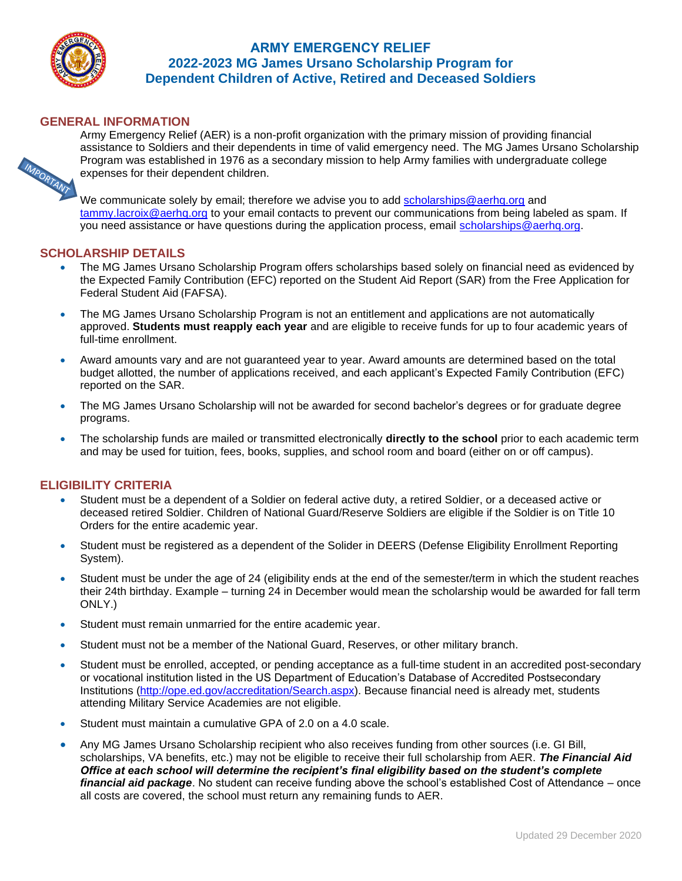

IMPORTANT

# **ARMY EMERGENCY RELIEF 2022-2023 MG James Ursano Scholarship Program for Dependent Children of Active, Retired and Deceased Soldiers**

### **GENERAL INFORMATION**

Army Emergency Relief (AER) is a non-profit organization with the primary mission of providing financial assistance to Soldiers and their dependents in time of valid emergency need. The MG James Ursano Scholarship Program was established in 1976 as a secondary mission to help Army families with undergraduate college expenses for their dependent children.

We communicate solely by email; therefore we advise you to add [scholarships@aerhq.org](mailto:scholarships@aerhq.org) and [tammy.lacroix@aerhq.org](mailto:tammy.lacroix@aerhq.org) to your email contacts to prevent our communications from being labeled as spam. If you need assistance or have questions during the application process, email [scholarships@aerhq.org.](mailto:scholarships@aerhq.org)

### **SCHOLARSHIP DETAILS**

- The MG James Ursano Scholarship Program offers scholarships based solely on financial need as evidenced by the Expected Family Contribution (EFC) reported on the Student Aid Report (SAR) from the Free Application for Federal Student Aid (FAFSA).
- The MG James Ursano Scholarship Program is not an entitlement and applications are not automatically approved. **Students must reapply each year** and are eligible to receive funds for up to four academic years of full-time enrollment.
- Award amounts vary and are not guaranteed year to year. Award amounts are determined based on the total budget allotted, the number of applications received, and each applicant's Expected Family Contribution (EFC) reported on the SAR.
- The MG James Ursano Scholarship will not be awarded for second bachelor's degrees or for graduate degree programs.
- The scholarship funds are mailed or transmitted electronically **directly to the school** prior to each academic term and may be used for tuition, fees, books, supplies, and school room and board (either on or off campus).

#### **ELIGIBILITY CRITERIA**

- Student must be a dependent of a Soldier on federal active duty, a retired Soldier, or a deceased active or deceased retired Soldier. Children of National Guard/Reserve Soldiers are eligible if the Soldier is on Title 10 Orders for the entire academic year.
- Student must be registered as a dependent of the Solider in DEERS (Defense Eligibility Enrollment Reporting System).
- Student must be under the age of 24 (eligibility ends at the end of the semester/term in which the student reaches their 24th birthday. Example – turning 24 in December would mean the scholarship would be awarded for fall term ONLY.)
- Student must remain unmarried for the entire academic year.
- Student must not be a member of the National Guard, Reserves, or other military branch.
- Student must be enrolled, accepted, or pending acceptance as a full-time student in an accredited post-secondary or vocational institution listed in the US Department of Education's Database of Accredited Postsecondary Institutions [\(http://ope.ed.gov/accreditation/Search.aspx\)](http://ope.ed.gov/accreditation/Search.aspx). Because financial need is already met, students attending Military Service Academies are not eligible.
- Student must maintain a cumulative GPA of 2.0 on a 4.0 scale.
- Any MG James Ursano Scholarship recipient who also receives funding from other sources (i.e. GI Bill, scholarships, VA benefits, etc.) may not be eligible to receive their full scholarship from AER. *The Financial Aid Office at each school will determine the recipient's final eligibility based on the student's complete financial aid package*. No student can receive funding above the school's established Cost of Attendance – once all costs are covered, the school must return any remaining funds to AER.